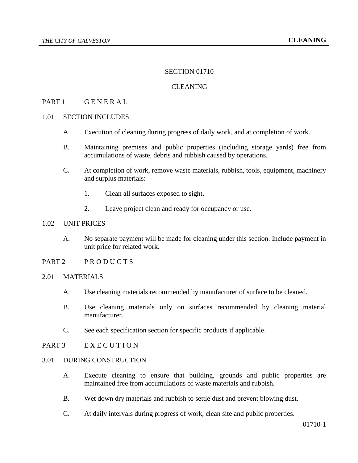### SECTION 01710

# **CLEANING**

## PART 1 GENERAL

#### 1.01 SECTION INCLUDES

- A. Execution of cleaning during progress of daily work, and at completion of work.
- B. Maintaining premises and public properties (including storage yards) free from accumulations of waste, debris and rubbish caused by operations.
- C. At completion of work, remove waste materials, rubbish, tools, equipment, machinery and surplus materials:
	- 1. Clean all surfaces exposed to sight.
	- 2. Leave project clean and ready for occupancy or use.

#### 1.02 UNIT PRICES

- A. No separate payment will be made for cleaning under this section. Include payment in unit price for related work.
- PART 2 PRODUCTS

#### 2.01 MATERIALS

- A. Use cleaning materials recommended by manufacturer of surface to be cleaned.
- B. Use cleaning materials only on surfaces recommended by cleaning material manufacturer.
- C. See each specification section for specific products if applicable.
- PART 3 EXECUTION

### 3.01 DURING CONSTRUCTION

- A. Execute cleaning to ensure that building, grounds and public properties are maintained free from accumulations of waste materials and rubbish.
- B. Wet down dry materials and rubbish to settle dust and prevent blowing dust.
- C. At daily intervals during progress of work, clean site and public properties.